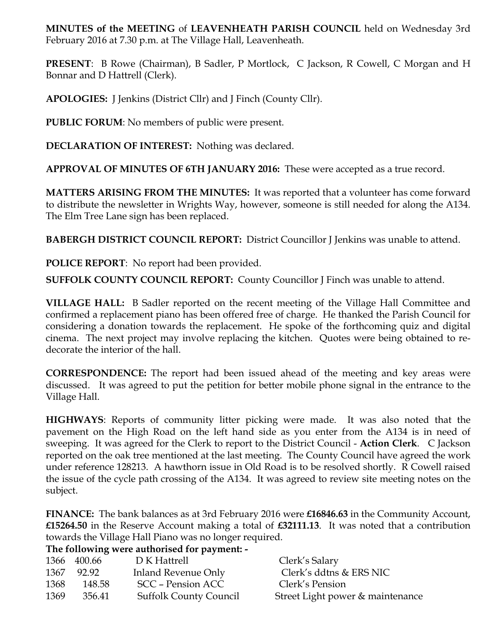**MINUTES of the MEETING** of **LEAVENHEATH PARISH COUNCIL** held on Wednesday 3rd February 2016 at 7.30 p.m. at The Village Hall, Leavenheath.

**PRESENT**: B Rowe (Chairman), B Sadler, P Mortlock, C Jackson, R Cowell, C Morgan and H Bonnar and D Hattrell (Clerk).

**APOLOGIES:** J Jenkins (District Cllr) and J Finch (County Cllr).

**PUBLIC FORUM**: No members of public were present.

**DECLARATION OF INTEREST:** Nothing was declared.

**APPROVAL OF MINUTES OF 6TH JANUARY 2016:** These were accepted as a true record.

**MATTERS ARISING FROM THE MINUTES:** It was reported that a volunteer has come forward to distribute the newsletter in Wrights Way, however, someone is still needed for along the A134. The Elm Tree Lane sign has been replaced.

**BABERGH DISTRICT COUNCIL REPORT:** District Councillor J Jenkins was unable to attend.

**POLICE REPORT**: No report had been provided.

**SUFFOLK COUNTY COUNCIL REPORT:** County Councillor J Finch was unable to attend.

**VILLAGE HALL:** B Sadler reported on the recent meeting of the Village Hall Committee and confirmed a replacement piano has been offered free of charge. He thanked the Parish Council for considering a donation towards the replacement. He spoke of the forthcoming quiz and digital cinema. The next project may involve replacing the kitchen. Quotes were being obtained to redecorate the interior of the hall.

**CORRESPONDENCE:** The report had been issued ahead of the meeting and key areas were discussed. It was agreed to put the petition for better mobile phone signal in the entrance to the Village Hall.

**HIGHWAYS**: Reports of community litter picking were made. It was also noted that the pavement on the High Road on the left hand side as you enter from the A134 is in need of sweeping. It was agreed for the Clerk to report to the District Council - **Action Clerk**. C Jackson reported on the oak tree mentioned at the last meeting. The County Council have agreed the work under reference 128213. A hawthorn issue in Old Road is to be resolved shortly. R Cowell raised the issue of the cycle path crossing of the A134. It was agreed to review site meeting notes on the subject.

**FINANCE:** The bank balances as at 3rd February 2016 were **£16846.63** in the Community Account, **£15264.50** in the Reserve Account making a total of **£32111.13**. It was noted that a contribution towards the Village Hall Piano was no longer required.

|      | 1366 400.66 | D K Hattrell                  | Clerk's Salary                   |
|------|-------------|-------------------------------|----------------------------------|
|      | 1367 92.92  | Inland Revenue Only           | Clerk's ddtns & ERS NIC          |
| 1368 | 148.58      | SCC – Pension ACC             | Clerk's Pension                  |
| 1369 | 356.41      | <b>Suffolk County Council</b> | Street Light power & maintenance |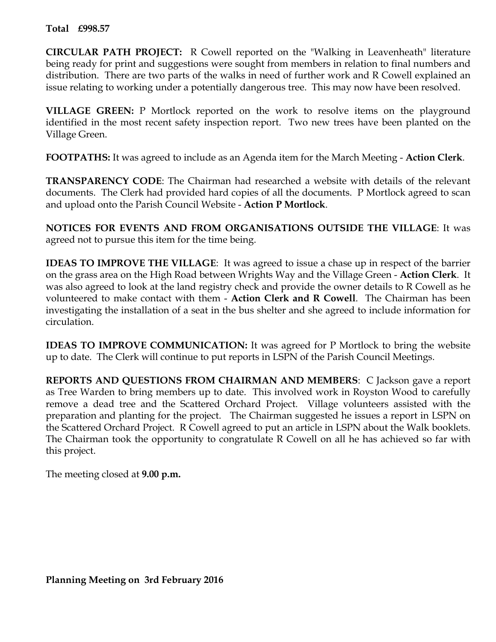## **Total £998.57**

**CIRCULAR PATH PROJECT:** R Cowell reported on the "Walking in Leavenheath" literature being ready for print and suggestions were sought from members in relation to final numbers and distribution. There are two parts of the walks in need of further work and R Cowell explained an issue relating to working under a potentially dangerous tree. This may now have been resolved.

**VILLAGE GREEN:** P Mortlock reported on the work to resolve items on the playground identified in the most recent safety inspection report. Two new trees have been planted on the Village Green.

**FOOTPATHS:** It was agreed to include as an Agenda item for the March Meeting - **Action Clerk**.

**TRANSPARENCY CODE**: The Chairman had researched a website with details of the relevant documents. The Clerk had provided hard copies of all the documents. P Mortlock agreed to scan and upload onto the Parish Council Website - **Action P Mortlock**.

**NOTICES FOR EVENTS AND FROM ORGANISATIONS OUTSIDE THE VILLAGE**: It was agreed not to pursue this item for the time being.

**IDEAS TO IMPROVE THE VILLAGE**: It was agreed to issue a chase up in respect of the barrier on the grass area on the High Road between Wrights Way and the Village Green - **Action Clerk**. It was also agreed to look at the land registry check and provide the owner details to R Cowell as he volunteered to make contact with them - **Action Clerk and R Cowell**. The Chairman has been investigating the installation of a seat in the bus shelter and she agreed to include information for circulation.

**IDEAS TO IMPROVE COMMUNICATION:** It was agreed for P Mortlock to bring the website up to date. The Clerk will continue to put reports in LSPN of the Parish Council Meetings.

**REPORTS AND QUESTIONS FROM CHAIRMAN AND MEMBERS**: C Jackson gave a report as Tree Warden to bring members up to date. This involved work in Royston Wood to carefully remove a dead tree and the Scattered Orchard Project. Village volunteers assisted with the preparation and planting for the project. The Chairman suggested he issues a report in LSPN on the Scattered Orchard Project. R Cowell agreed to put an article in LSPN about the Walk booklets. The Chairman took the opportunity to congratulate R Cowell on all he has achieved so far with this project.

The meeting closed at **9.00 p.m.**